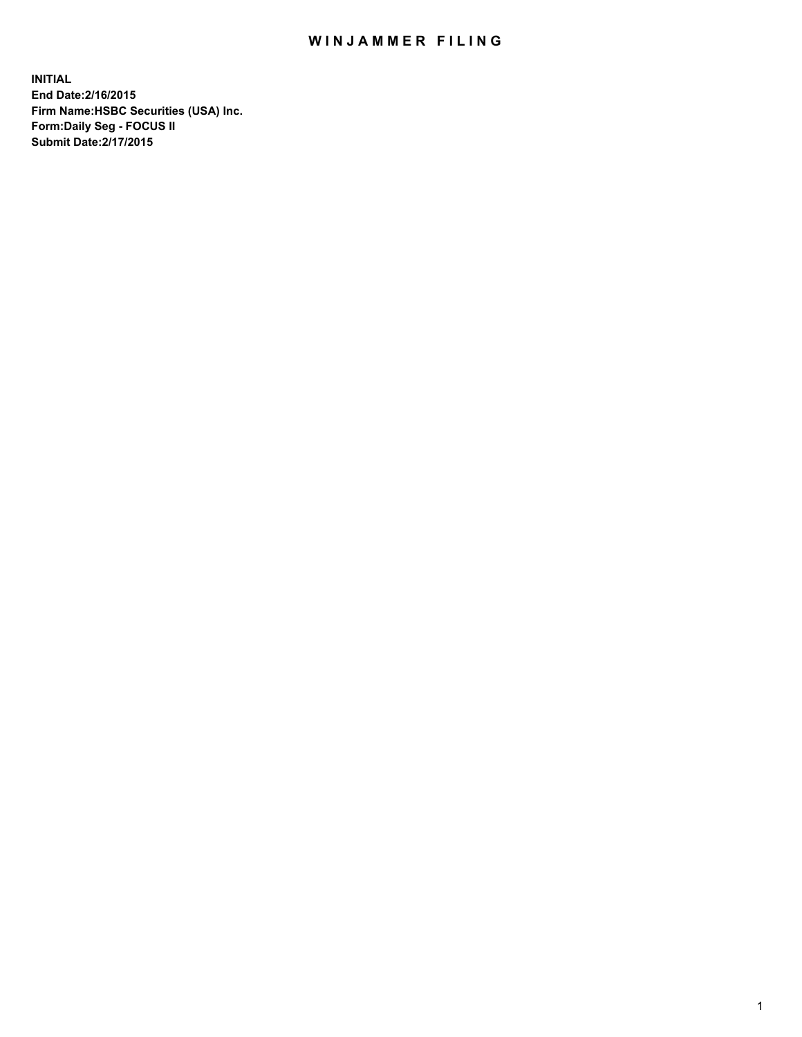## WIN JAMMER FILING

**INITIAL End Date:2/16/2015 Firm Name:HSBC Securities (USA) Inc. Form:Daily Seg - FOCUS II Submit Date:2/17/2015**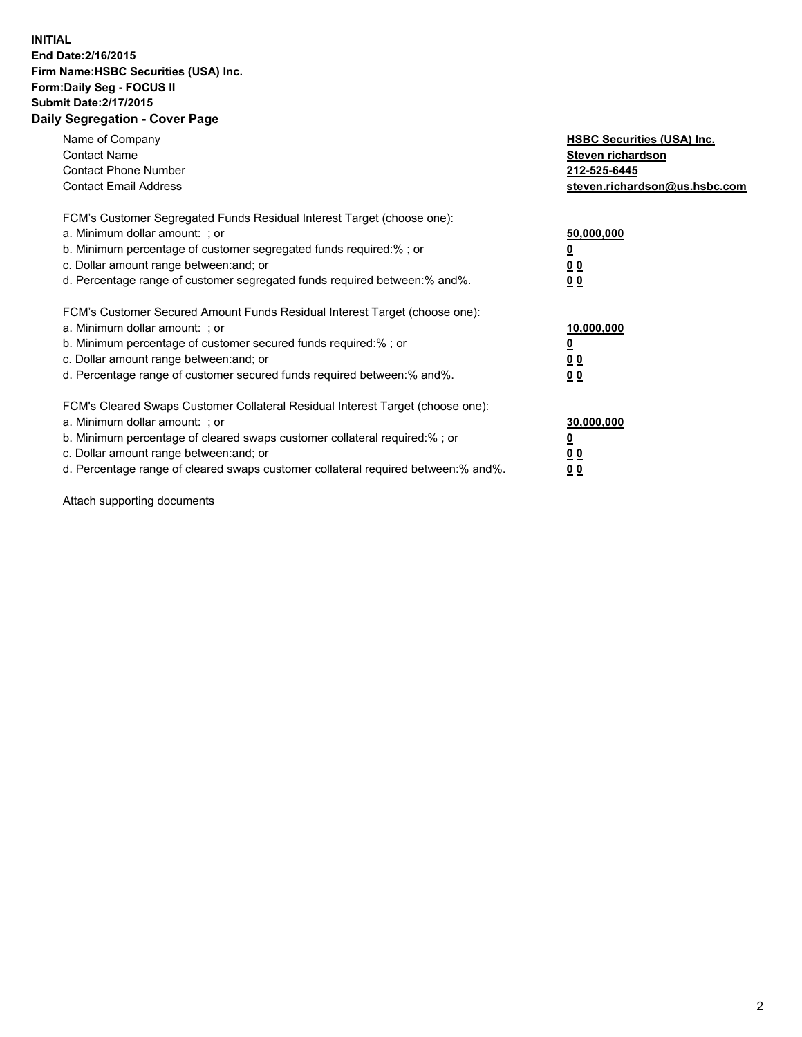## **INITIAL End Date:2/16/2015 Firm Name:HSBC Securities (USA) Inc. Form:Daily Seg - FOCUS II Submit Date:2/17/2015 Daily Segregation - Cover Page**

| Name of Company<br><b>Contact Name</b><br><b>Contact Phone Number</b><br><b>Contact Email Address</b>                                                                                                                                                                                                                         | <b>HSBC Securities (USA) Inc.</b><br>Steven richardson<br>212-525-6445<br>steven.richardson@us.hsbc.com |
|-------------------------------------------------------------------------------------------------------------------------------------------------------------------------------------------------------------------------------------------------------------------------------------------------------------------------------|---------------------------------------------------------------------------------------------------------|
| FCM's Customer Segregated Funds Residual Interest Target (choose one):<br>a. Minimum dollar amount: ; or<br>b. Minimum percentage of customer segregated funds required:%; or<br>c. Dollar amount range between: and; or<br>d. Percentage range of customer segregated funds required between:% and%.                         | 50,000,000<br>00<br>0 <sub>0</sub>                                                                      |
| FCM's Customer Secured Amount Funds Residual Interest Target (choose one):<br>a. Minimum dollar amount: ; or<br>b. Minimum percentage of customer secured funds required:%; or<br>c. Dollar amount range between: and; or<br>d. Percentage range of customer secured funds required between:% and%.                           | 10,000,000<br>0 <sub>0</sub><br>00                                                                      |
| FCM's Cleared Swaps Customer Collateral Residual Interest Target (choose one):<br>a. Minimum dollar amount: ; or<br>b. Minimum percentage of cleared swaps customer collateral required:%; or<br>c. Dollar amount range between: and; or<br>d. Percentage range of cleared swaps customer collateral required between:% and%. | 30,000,000<br><u>00</u><br><u>00</u>                                                                    |

Attach supporting documents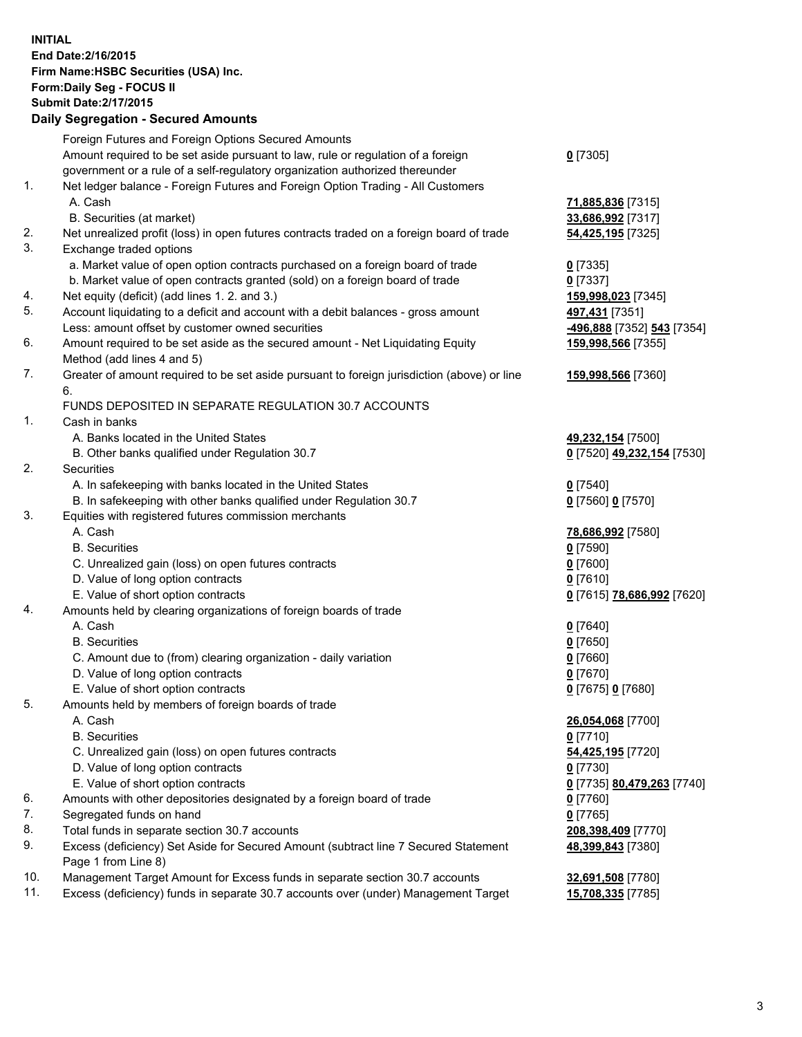**INITIAL End Date:2/16/2015 Firm Name:HSBC Securities (USA) Inc. Form:Daily Seg - FOCUS II Submit Date:2/17/2015 Daily Segregation - Secured Amounts**

Foreign Futures and Foreign Options Secured Amounts Amount required to be set aside pursuant to law, rule or regulation of a foreign government or a rule of a self-regulatory organization authorized thereunder **0** [7305] 1. Net ledger balance - Foreign Futures and Foreign Option Trading - All Customers A. Cash **71,885,836** [7315] B. Securities (at market) **33,686,992** [7317] 2. Net unrealized profit (loss) in open futures contracts traded on a foreign board of trade **54,425,195** [7325] 3. Exchange traded options a. Market value of open option contracts purchased on a foreign board of trade **0** [7335] b. Market value of open contracts granted (sold) on a foreign board of trade **0** [7337] 4. Net equity (deficit) (add lines 1. 2. and 3.) **159,998,023** [7345] 5. Account liquidating to a deficit and account with a debit balances - gross amount **497,431** [7351] Less: amount offset by customer owned securities **-496,888** [7352] **543** [7354] 6. Amount required to be set aside as the secured amount - Net Liquidating Equity Method (add lines 4 and 5) **159,998,566** [7355] 7. Greater of amount required to be set aside pursuant to foreign jurisdiction (above) or line 6. **159,998,566** [7360] FUNDS DEPOSITED IN SEPARATE REGULATION 30.7 ACCOUNTS 1. Cash in banks A. Banks located in the United States **49,232,154** [7500] B. Other banks qualified under Regulation 30.7 **0** [7520] **49,232,154** [7530] 2. Securities A. In safekeeping with banks located in the United States **0** [7540] B. In safekeeping with other banks qualified under Regulation 30.7 **0** [7560] **0** [7570] 3. Equities with registered futures commission merchants A. Cash **78,686,992** [7580] B. Securities **0** [7590] C. Unrealized gain (loss) on open futures contracts **0** [7600] D. Value of long option contracts **0** [7610] E. Value of short option contracts **0** [7615] **78,686,992** [7620] 4. Amounts held by clearing organizations of foreign boards of trade A. Cash **0** [7640] B. Securities **0** [7650] C. Amount due to (from) clearing organization - daily variation **0** [7660] D. Value of long option contracts **0** [7670] E. Value of short option contracts **0** [7675] **0** [7680] 5. Amounts held by members of foreign boards of trade A. Cash **26,054,068** [7700] B. Securities **0** [7710] C. Unrealized gain (loss) on open futures contracts **54,425,195** [7720] D. Value of long option contracts **0** [7730] E. Value of short option contracts **0** [7735] **80,479,263** [7740] 6. Amounts with other depositories designated by a foreign board of trade **0** [7760] 7. Segregated funds on hand **0** [7765] 8. Total funds in separate section 30.7 accounts **208,398,409** [7770] 9. Excess (deficiency) Set Aside for Secured Amount (subtract line 7 Secured Statement Page 1 from Line 8) **48,399,843** [7380] 10. Management Target Amount for Excess funds in separate section 30.7 accounts **32,691,508** [7780] 11. Excess (deficiency) funds in separate 30.7 accounts over (under) Management Target **15,708,335** [7785]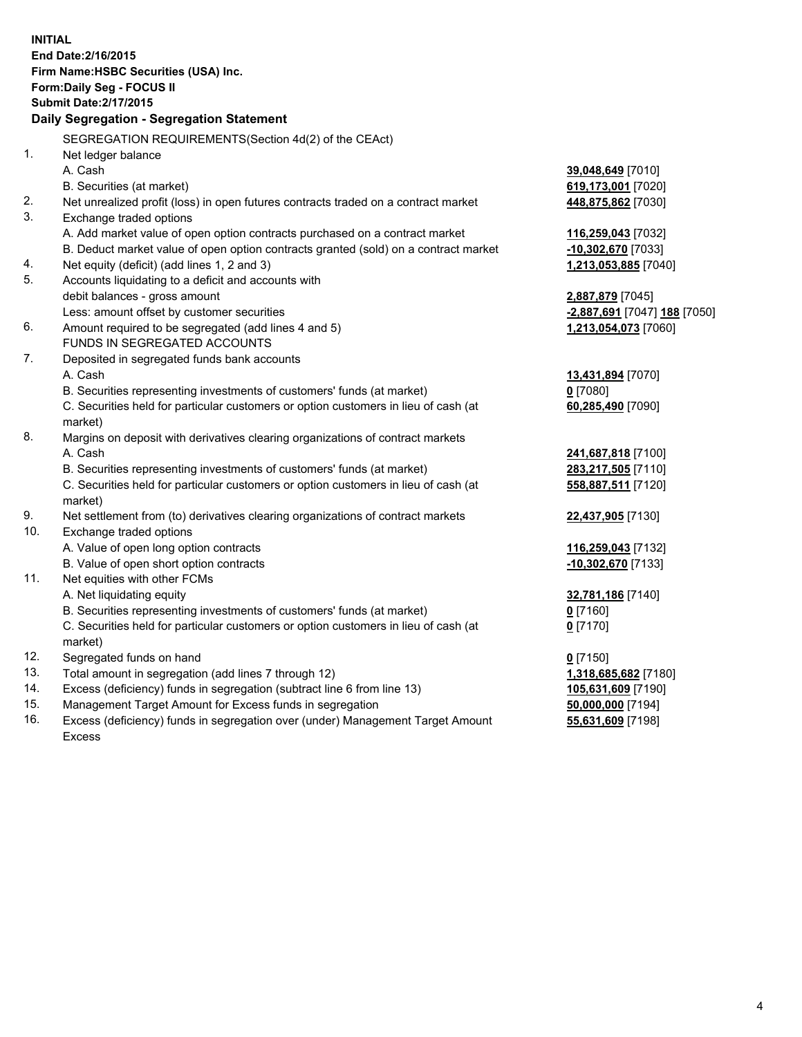| <b>INITIAL</b>                            |                                                                                     |                                        |  |  |
|-------------------------------------------|-------------------------------------------------------------------------------------|----------------------------------------|--|--|
| End Date: 2/16/2015                       |                                                                                     |                                        |  |  |
| Firm Name: HSBC Securities (USA) Inc.     |                                                                                     |                                        |  |  |
| Form: Daily Seg - FOCUS II                |                                                                                     |                                        |  |  |
| <b>Submit Date: 2/17/2015</b>             |                                                                                     |                                        |  |  |
| Daily Segregation - Segregation Statement |                                                                                     |                                        |  |  |
|                                           | SEGREGATION REQUIREMENTS(Section 4d(2) of the CEAct)                                |                                        |  |  |
| 1.                                        | Net ledger balance                                                                  |                                        |  |  |
|                                           | A. Cash                                                                             | 39,048,649 [7010]                      |  |  |
|                                           | B. Securities (at market)                                                           | 619,173,001 [7020]                     |  |  |
| 2.                                        | Net unrealized profit (loss) in open futures contracts traded on a contract market  | 448,875,862 [7030]                     |  |  |
| 3.                                        | Exchange traded options                                                             |                                        |  |  |
|                                           | A. Add market value of open option contracts purchased on a contract market         | 116,259,043 [7032]                     |  |  |
|                                           | B. Deduct market value of open option contracts granted (sold) on a contract market | -10,302,670 [7033]                     |  |  |
| 4.                                        | Net equity (deficit) (add lines 1, 2 and 3)                                         | 1,213,053,885 [7040]                   |  |  |
| 5.                                        | Accounts liquidating to a deficit and accounts with                                 |                                        |  |  |
|                                           | debit balances - gross amount                                                       | 2,887,879 [7045]                       |  |  |
|                                           | Less: amount offset by customer securities                                          | -2,887,691 [7047] 188 [7050]           |  |  |
| 6.                                        | Amount required to be segregated (add lines 4 and 5)                                | 1,213,054,073 [7060]                   |  |  |
|                                           | FUNDS IN SEGREGATED ACCOUNTS                                                        |                                        |  |  |
| 7.                                        | Deposited in segregated funds bank accounts                                         |                                        |  |  |
|                                           | A. Cash                                                                             | 13,431,894 [7070]                      |  |  |
|                                           | B. Securities representing investments of customers' funds (at market)              | $0$ [7080]                             |  |  |
|                                           | C. Securities held for particular customers or option customers in lieu of cash (at | 60,285,490 [7090]                      |  |  |
|                                           | market)                                                                             |                                        |  |  |
| 8.                                        | Margins on deposit with derivatives clearing organizations of contract markets      |                                        |  |  |
|                                           | A. Cash                                                                             | 241,687,818 [7100]                     |  |  |
|                                           | B. Securities representing investments of customers' funds (at market)              | 283,217,505 [7110]                     |  |  |
|                                           | C. Securities held for particular customers or option customers in lieu of cash (at | 558,887,511 [7120]                     |  |  |
|                                           | market)                                                                             |                                        |  |  |
| 9.                                        | Net settlement from (to) derivatives clearing organizations of contract markets     | 22,437,905 [7130]                      |  |  |
| 10.                                       | Exchange traded options                                                             |                                        |  |  |
|                                           | A. Value of open long option contracts                                              | 116,259,043 [7132]                     |  |  |
|                                           | B. Value of open short option contracts                                             | -10,302,670 [7133]                     |  |  |
| 11.                                       | Net equities with other FCMs                                                        |                                        |  |  |
|                                           | A. Net liquidating equity                                                           | 32,781,186 [7140]                      |  |  |
|                                           | B. Securities representing investments of customers' funds (at market)              | $0$ [7160]                             |  |  |
|                                           | C. Securities held for particular customers or option customers in lieu of cash (at | $0$ [7170]                             |  |  |
| 12.                                       | market)<br>Segregated funds on hand                                                 |                                        |  |  |
| 13.                                       | Total amount in segregation (add lines 7 through 12)                                | $0$ [7150]                             |  |  |
| 14.                                       | Excess (deficiency) funds in segregation (subtract line 6 from line 13)             | 1,318,685,682 [7180]                   |  |  |
| 15.                                       | Management Target Amount for Excess funds in segregation                            | 105,631,609 [7190]                     |  |  |
| 16.                                       | Excess (deficiency) funds in segregation over (under) Management Target Amount      | 50,000,000 [7194]<br>55,631,609 [7198] |  |  |
|                                           |                                                                                     |                                        |  |  |

Excess